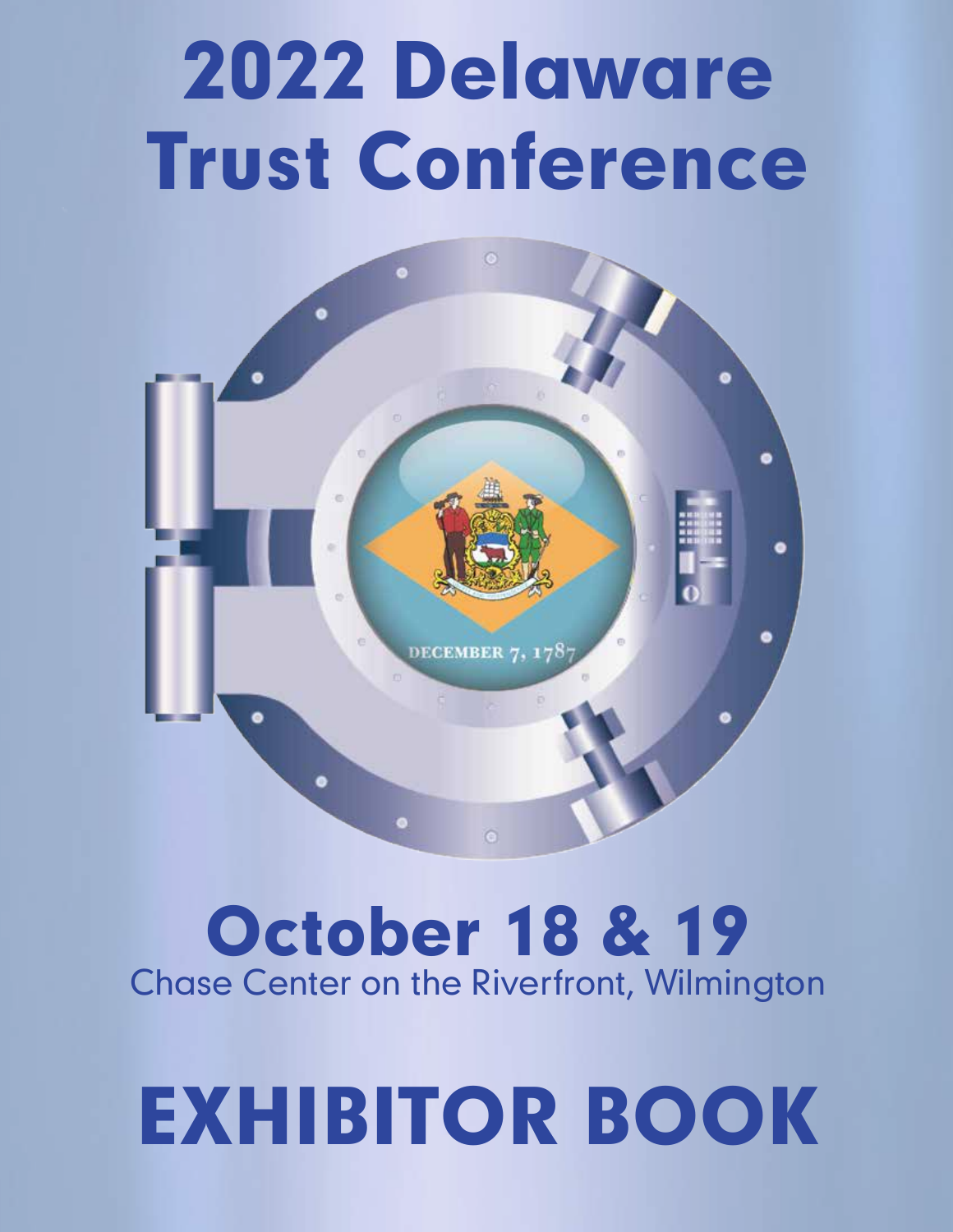## 2022 Delaware Trust Conference



## October 18 & 19 Chase Center on the Riverfront, Wilmington

# EXHIBITOR BOOK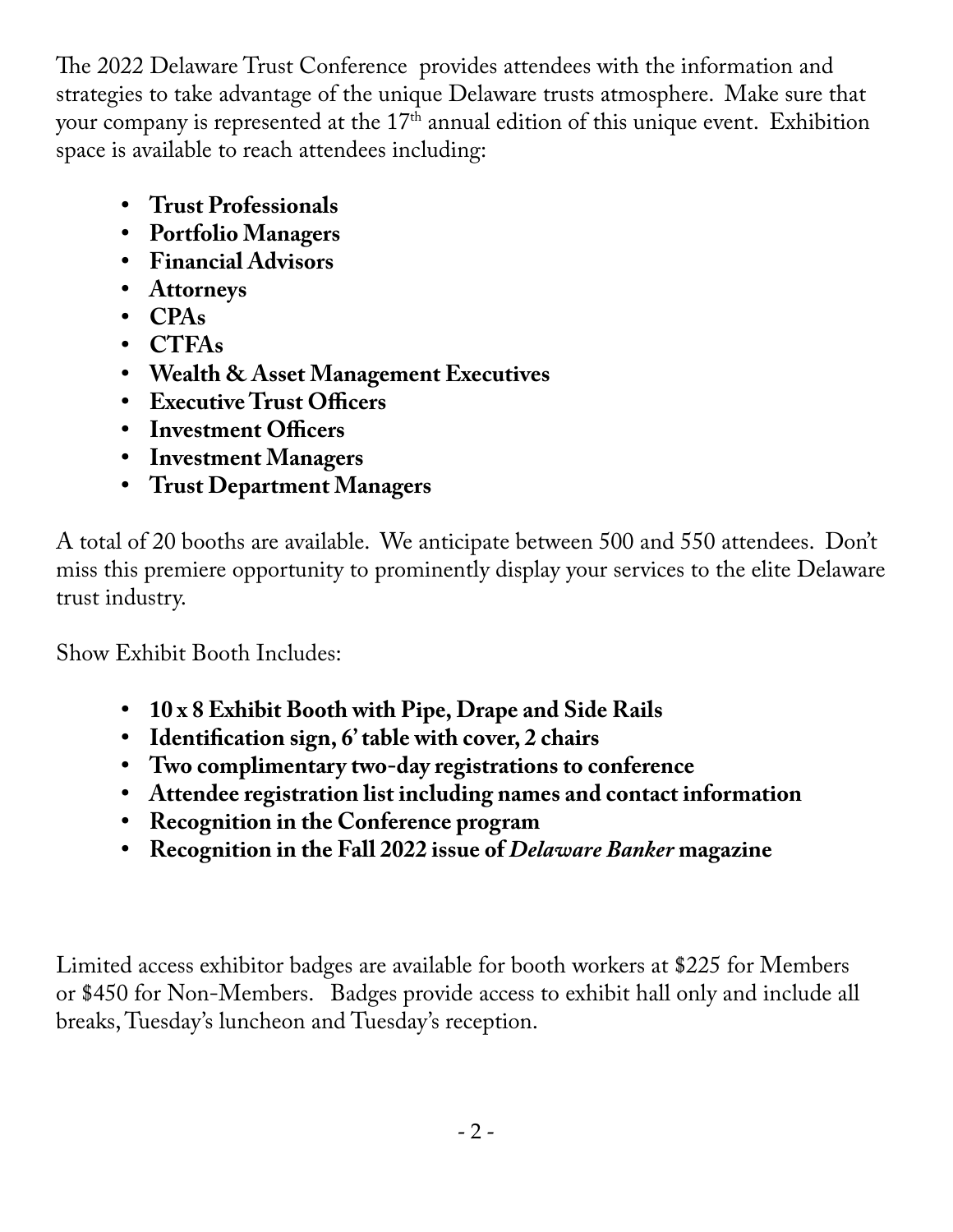The 2022 Delaware Trust Conference provides attendees with the information and strategies to take advantage of the unique Delaware trusts atmosphere. Make sure that your company is represented at the 17<sup>th</sup> annual edition of this unique event. Exhibition space is available to reach attendees including:

- **• Trust Professionals**
- **• Portfolio Managers**
- **• Financial Advisors**
- **• Attorneys**
- **• CPAs**
- **• CTFAs**
- **• Wealth & Asset Management Executives**
- **• Executive Trust Officers**
- **• Investment Officers**
- **• Investment Managers**
- **• Trust Department Managers**

A total of 20 booths are available. We anticipate between 500 and 550 attendees. Don't miss this premiere opportunity to prominently display your services to the elite Delaware trust industry.

Show Exhibit Booth Includes:

- **• 10 x 8 Exhibit Booth with Pipe, Drape and Side Rails**
- **• Identification sign, 6' table with cover, 2 chairs**
- **• Two complimentary two-day registrations to conference**
- **• Attendee registration list including names and contact information**
- **• Recognition in the Conference program**
- **• Recognition in the Fall 2022 issue of** *Delaware Banker* **magazine**

Limited access exhibitor badges are available for booth workers at \$225 for Members or \$450 for Non-Members. Badges provide access to exhibit hall only and include all breaks, Tuesday's luncheon and Tuesday's reception.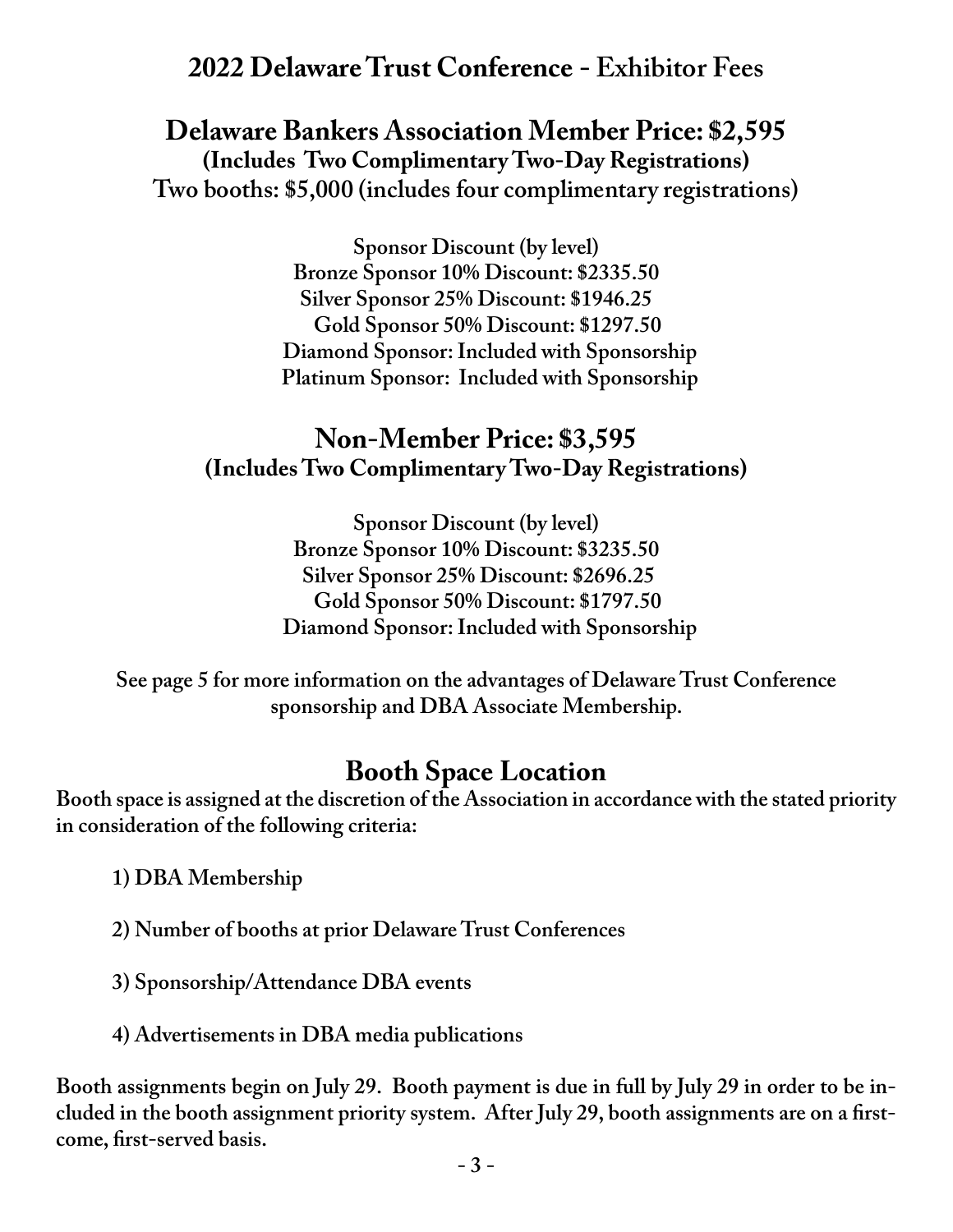## **2022 Delaware Trust Conference - Exhibitor Fees**

**Delaware Bankers Association Member Price: \$2,595 (Includes Two Complimentary Two-Day Registrations) Two booths: \$5,000 (includes four complimentary registrations)**

> **Sponsor Discount (by level) Bronze Sponsor 10% Discount: \$2335.50 Silver Sponsor 25% Discount: \$1946.25 Gold Sponsor 50% Discount: \$1297.50 Diamond Sponsor: Included with Sponsorship Platinum Sponsor: Included with Sponsorship**

### **Non-Member Price: \$3,595 (Includes Two Complimentary Two-Day Registrations)**

**Sponsor Discount (by level) Bronze Sponsor 10% Discount: \$3235.50 Silver Sponsor 25% Discount: \$2696.25 Gold Sponsor 50% Discount: \$1797.50 Diamond Sponsor: Included with Sponsorship**

**See page 5 for more information on the advantages of Delaware Trust Conference sponsorship and DBA Associate Membership.**

## **Booth Space Location**

**Booth space is assigned at the discretion of the Association in accordance with the stated priority in consideration of the following criteria:** 

**1) DBA Membership**

**2) Number of booths at prior Delaware Trust Conferences**

**3) Sponsorship/Attendance DBA events**

**4) Advertisements in DBA media publications**

**Booth assignments begin on July 29. Booth payment is due in full by July 29 in order to be included in the booth assignment priority system. After July 29, booth assignments are on a firstcome, first-served basis.**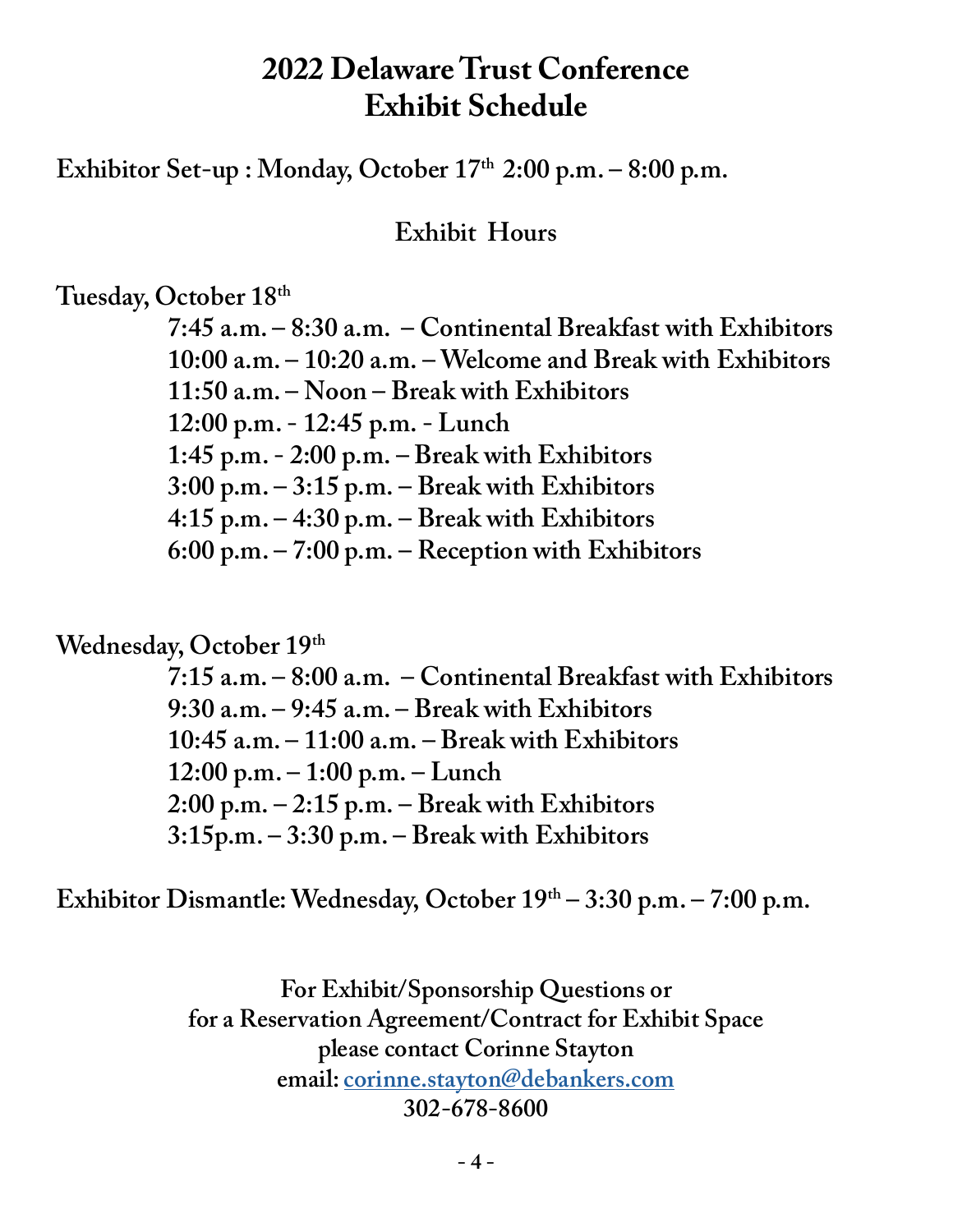## **2022 Delaware Trust Conference Exhibit Schedule**

Exhibitor Set-up : Monday, October 17<sup>th</sup> 2:00 p.m. – 8:00 p.m.

**Exhibit Hours**

**Tuesday, October 18th**

 **7:45 a.m. – 8:30 a.m. – Continental Breakfast with Exhibitors 10:00 a.m. – 10:20 a.m. – Welcome and Break with Exhibitors 11:50 a.m. – Noon – Break with Exhibitors 12:00 p.m. - 12:45 p.m. - Lunch 1:45 p.m. - 2:00 p.m. – Break with Exhibitors 3:00 p.m. – 3:15 p.m. – Break with Exhibitors 4:15 p.m. – 4:30 p.m. – Break with Exhibitors 6:00 p.m. – 7:00 p.m. – Reception with Exhibitors**

Wednesday, October 19<sup>th</sup>

 **7:15 a.m. – 8:00 a.m. – Continental Breakfast with Exhibitors 9:30 a.m. – 9:45 a.m. – Break with Exhibitors 10:45 a.m. – 11:00 a.m. – Break with Exhibitors 12:00 p.m. – 1:00 p.m. – Lunch 2:00 p.m. – 2:15 p.m. – Break with Exhibitors 3:15p.m. – 3:30 p.m. – Break with Exhibitors**

**Exhibitor Dismantle: Wednesday, October 19th – 3:30 p.m. – 7:00 p.m.**

**For Exhibit/Sponsorship Questions or for a Reservation Agreement/Contract for Exhibit Space please contact Corinne Stayton email: corinne.stayton@debankers.com 302-678-8600**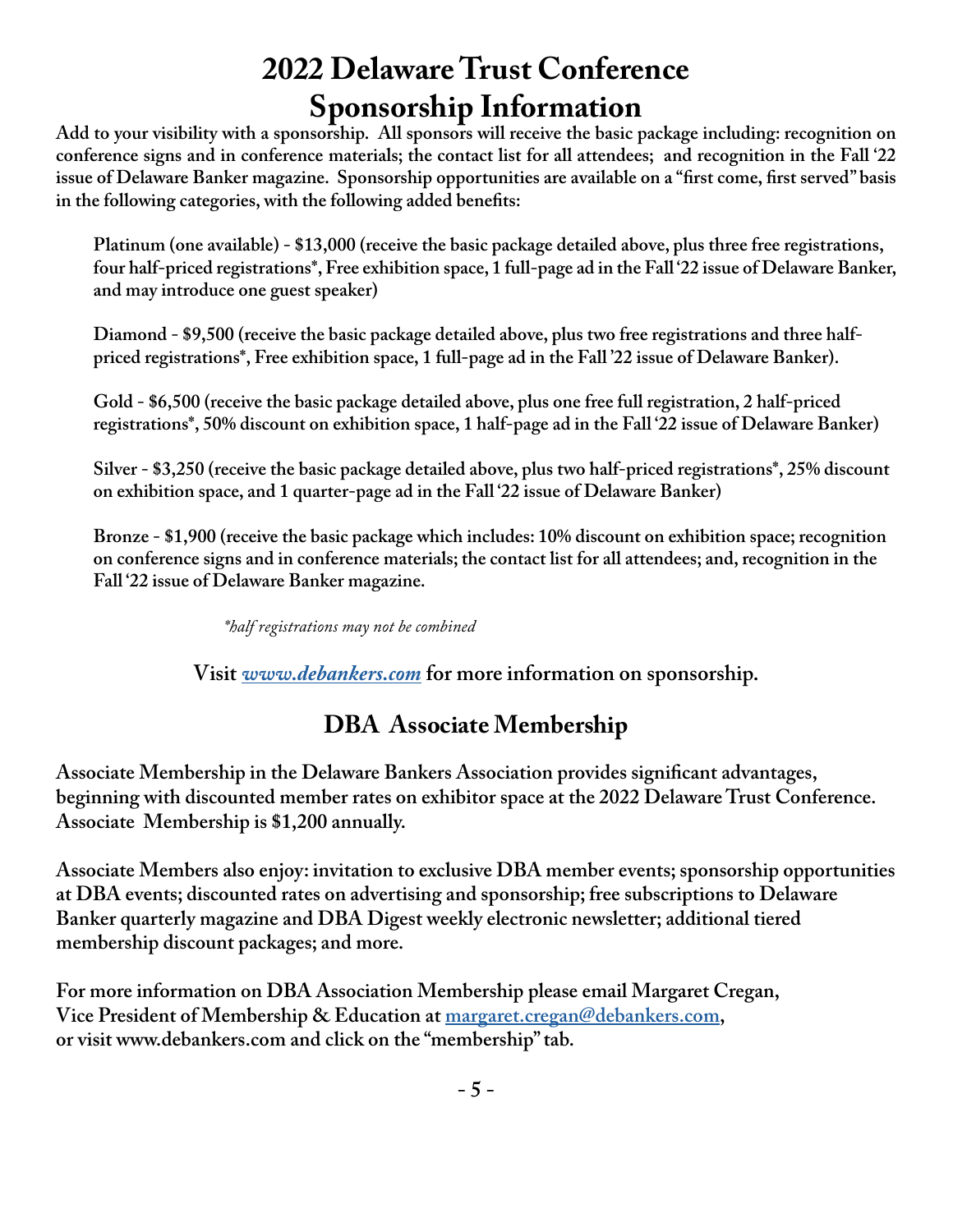## **2022 Delaware Trust Conference Sponsorship Information**

**Add to your visibility with a sponsorship. All sponsors will receive the basic package including: recognition on conference signs and in conference materials; the contact list for all attendees; and recognition in the Fall '22 issue of Delaware Banker magazine. Sponsorship opportunities are available on a "first come, first served" basis in the following categories, with the following added benefits:**

**Platinum (one available) - \$13,000 (receive the basic package detailed above, plus three free registrations, four half-priced registrations\*, Free exhibition space, 1 full-page ad in the Fall '22 issue of Delaware Banker, and may introduce one guest speaker)**

**Diamond - \$9,500 (receive the basic package detailed above, plus two free registrations and three halfpriced registrations\*, Free exhibition space, 1 full-page ad in the Fall '22 issue of Delaware Banker).**

**Gold - \$6,500 (receive the basic package detailed above, plus one free full registration, 2 half-priced registrations\*, 50% discount on exhibition space, 1 half-page ad in the Fall '22 issue of Delaware Banker)**

**Silver - \$3,250 (receive the basic package detailed above, plus two half-priced registrations\*, 25% discount on exhibition space, and 1 quarter-page ad in the Fall '22 issue of Delaware Banker)**

**Bronze - \$1,900 (receive the basic package which includes: 10% discount on exhibition space; recognition on conference signs and in conference materials; the contact list for all attendees; and, recognition in the Fall '22 issue of Delaware Banker magazine.**

 *\*half registrations may not be combined* 

**Visit** *www.debankers.com* **for more information on sponsorship.**

## **DBA Associate Membership**

**Associate Membership in the Delaware Bankers Association provides significant advantages, beginning with discounted member rates on exhibitor space at the 2022 Delaware Trust Conference. Associate Membership is \$1,200 annually.** 

**Associate Members also enjoy: invitation to exclusive DBA member events; sponsorship opportunities at DBA events; discounted rates on advertising and sponsorship; free subscriptions to Delaware Banker quarterly magazine and DBA Digest weekly electronic newsletter; additional tiered membership discount packages; and more.** 

**For more information on DBA Association Membership please email Margaret Cregan, Vice President of Membership & Education at margaret.cregan@debankers.com, or visit www.debankers.com and click on the "membership" tab.**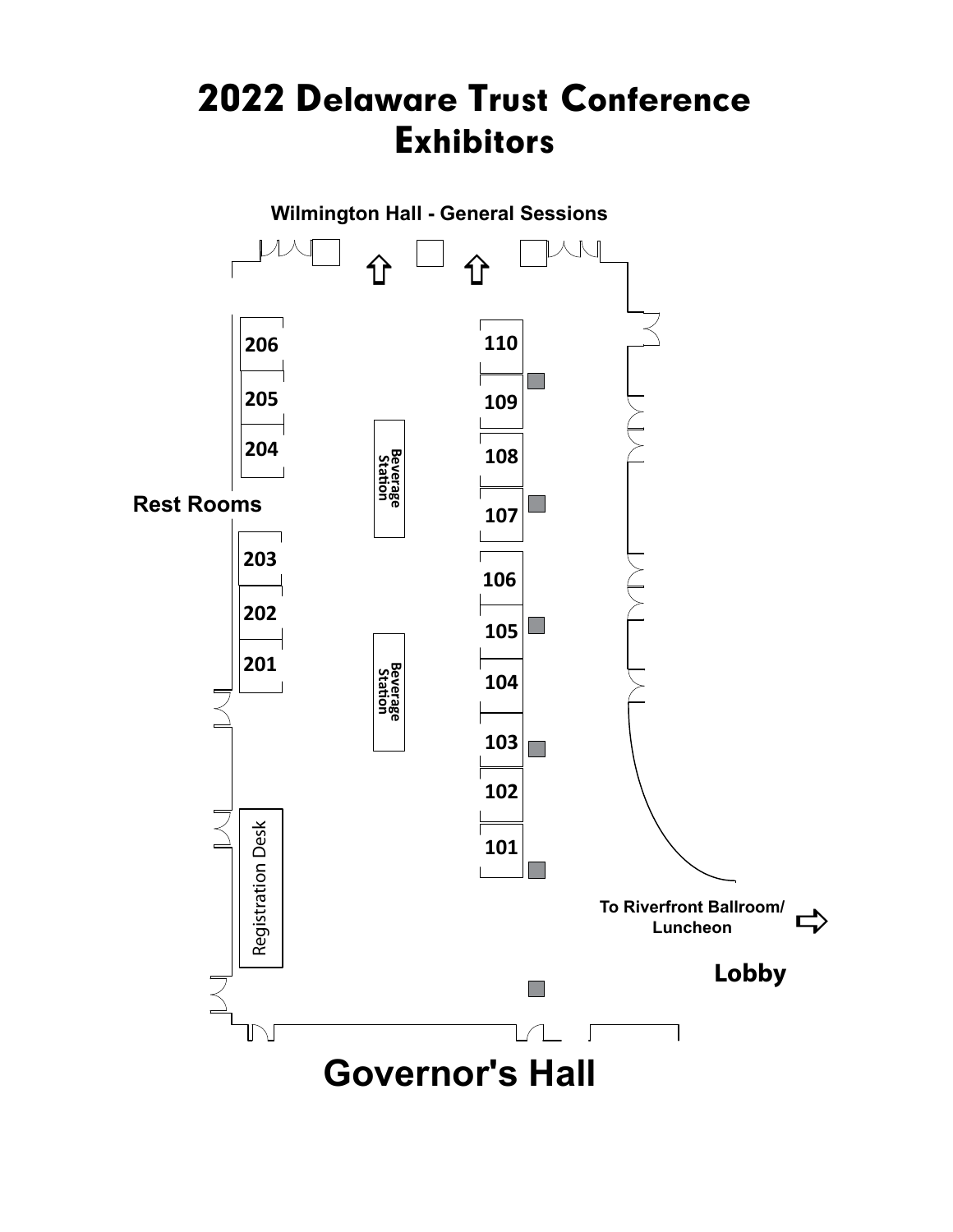## 2022 Delaware Trust Conference Exhibitors

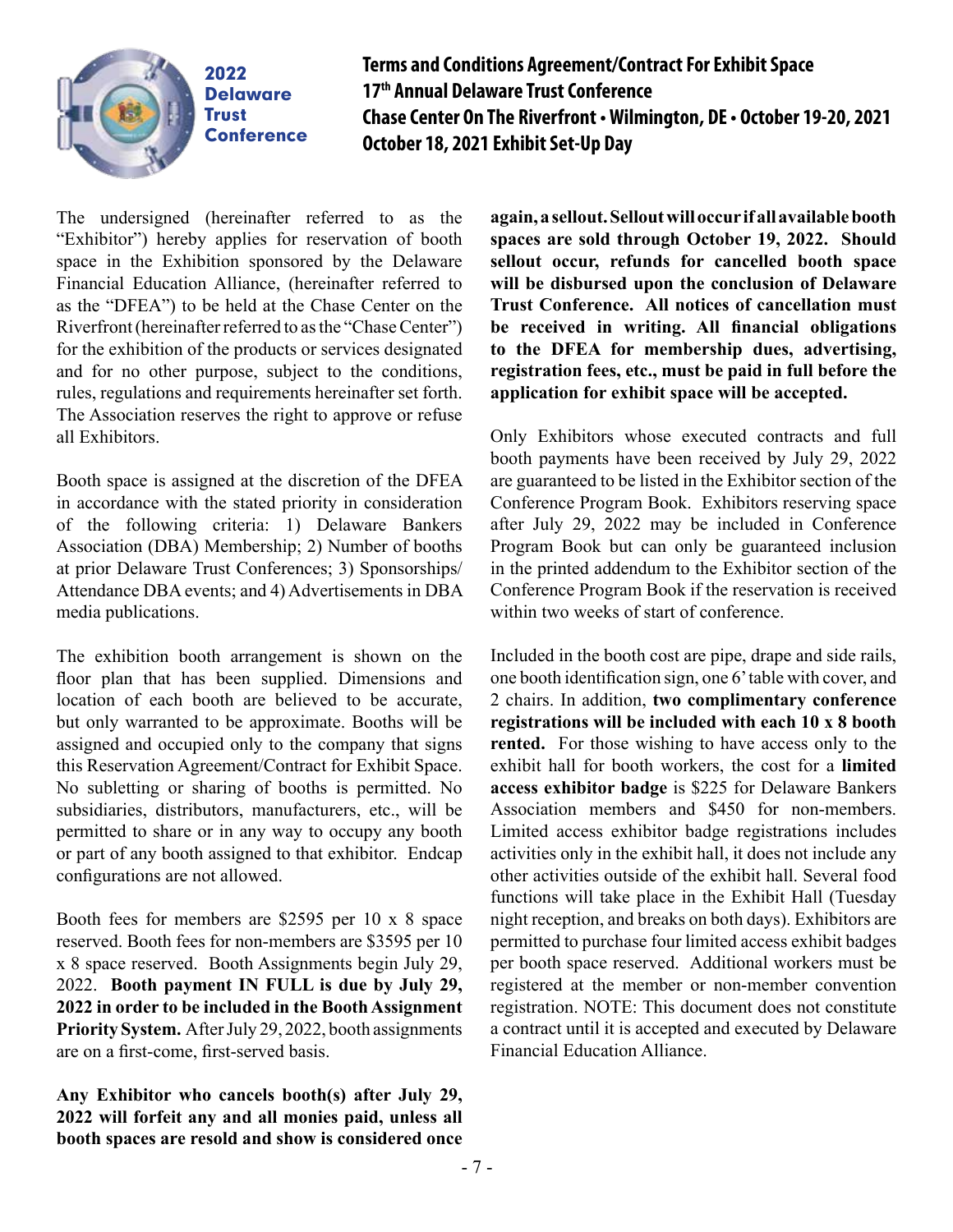

### **Terms and Conditions Agreement/Contract For Exhibit Space 17th Annual Delaware Trust Conference Chase Center On The Riverfront • Wilmington, DE • October 19-20, 2021 October 18, 2021 Exhibit Set-Up Day**

The undersigned (hereinafter referred to as the "Exhibitor") hereby applies for reservation of booth space in the Exhibition sponsored by the Delaware Financial Education Alliance, (hereinafter referred to as the "DFEA") to be held at the Chase Center on the Riverfront (hereinafter referred to as the "Chase Center") for the exhibition of the products or services designated and for no other purpose, subject to the conditions, rules, regulations and requirements hereinafter set forth. The Association reserves the right to approve or refuse all Exhibitors.

Booth space is assigned at the discretion of the DFEA in accordance with the stated priority in consideration of the following criteria: 1) Delaware Bankers Association (DBA) Membership; 2) Number of booths at prior Delaware Trust Conferences; 3) Sponsorships/ Attendance DBA events; and 4) Advertisements in DBA media publications.

The exhibition booth arrangement is shown on the floor plan that has been supplied. Dimensions and location of each booth are believed to be accurate, but only warranted to be approximate. Booths will be assigned and occupied only to the company that signs this Reservation Agreement/Contract for Exhibit Space. No subletting or sharing of booths is permitted. No subsidiaries, distributors, manufacturers, etc., will be permitted to share or in any way to occupy any booth or part of any booth assigned to that exhibitor. Endcap configurations are not allowed.

Booth fees for members are \$2595 per 10 x 8 space reserved. Booth fees for non-members are \$3595 per 10 x 8 space reserved. Booth Assignments begin July 29, 2022. **Booth payment IN FULL is due by July 29, 2022 in order to be included in the Booth Assignment Priority System.** After July 29, 2022, booth assignments are on a first-come, first-served basis.

**Any Exhibitor who cancels booth(s) after July 29, 2022 will forfeit any and all monies paid, unless all booth spaces are resold and show is considered once** 

**again, a sellout. Sellout will occur if all available booth spaces are sold through October 19, 2022. Should sellout occur, refunds for cancelled booth space will be disbursed upon the conclusion of Delaware Trust Conference. All notices of cancellation must be received in writing. All financial obligations to the DFEA for membership dues, advertising, registration fees, etc., must be paid in full before the application for exhibit space will be accepted.**

Only Exhibitors whose executed contracts and full booth payments have been received by July 29, 2022 are guaranteed to be listed in the Exhibitor section of the Conference Program Book. Exhibitors reserving space after July 29, 2022 may be included in Conference Program Book but can only be guaranteed inclusion in the printed addendum to the Exhibitor section of the Conference Program Book if the reservation is received within two weeks of start of conference.

Included in the booth cost are pipe, drape and side rails, one booth identification sign, one 6' table with cover, and 2 chairs. In addition, **two complimentary conference registrations will be included with each 10 x 8 booth rented.** For those wishing to have access only to the exhibit hall for booth workers, the cost for a **limited access exhibitor badge** is \$225 for Delaware Bankers Association members and \$450 for non-members. Limited access exhibitor badge registrations includes activities only in the exhibit hall, it does not include any other activities outside of the exhibit hall. Several food functions will take place in the Exhibit Hall (Tuesday night reception, and breaks on both days). Exhibitors are permitted to purchase four limited access exhibit badges per booth space reserved. Additional workers must be registered at the member or non-member convention registration. NOTE: This document does not constitute a contract until it is accepted and executed by Delaware Financial Education Alliance.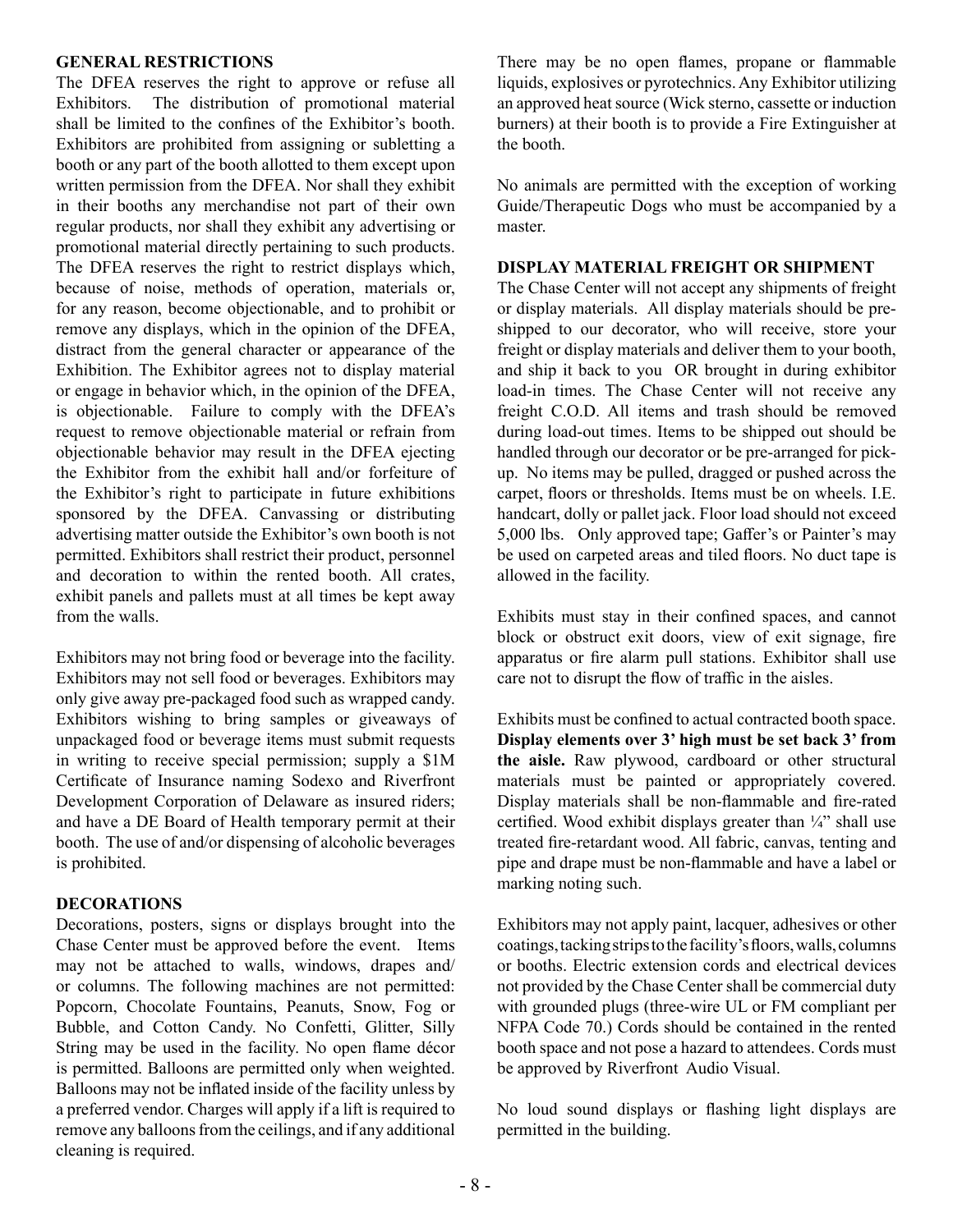#### **GENERAL RESTRICTIONS**

The DFEA reserves the right to approve or refuse all Exhibitors. The distribution of promotional material shall be limited to the confines of the Exhibitor's booth. Exhibitors are prohibited from assigning or subletting a booth or any part of the booth allotted to them except upon written permission from the DFEA. Nor shall they exhibit in their booths any merchandise not part of their own regular products, nor shall they exhibit any advertising or promotional material directly pertaining to such products. The DFEA reserves the right to restrict displays which, because of noise, methods of operation, materials or, for any reason, become objectionable, and to prohibit or remove any displays, which in the opinion of the DFEA, distract from the general character or appearance of the Exhibition. The Exhibitor agrees not to display material or engage in behavior which, in the opinion of the DFEA, is objectionable. Failure to comply with the DFEA's request to remove objectionable material or refrain from objectionable behavior may result in the DFEA ejecting the Exhibitor from the exhibit hall and/or forfeiture of the Exhibitor's right to participate in future exhibitions sponsored by the DFEA. Canvassing or distributing advertising matter outside the Exhibitor's own booth is not permitted. Exhibitors shall restrict their product, personnel and decoration to within the rented booth. All crates, exhibit panels and pallets must at all times be kept away from the walls.

Exhibitors may not bring food or beverage into the facility. Exhibitors may not sell food or beverages. Exhibitors may only give away pre-packaged food such as wrapped candy. Exhibitors wishing to bring samples or giveaways of unpackaged food or beverage items must submit requests in writing to receive special permission; supply a \$1M Certificate of Insurance naming Sodexo and Riverfront Development Corporation of Delaware as insured riders; and have a DE Board of Health temporary permit at their booth. The use of and/or dispensing of alcoholic beverages is prohibited.

#### **DECORATIONS**

Decorations, posters, signs or displays brought into the Chase Center must be approved before the event. Items may not be attached to walls, windows, drapes and/ or columns. The following machines are not permitted: Popcorn, Chocolate Fountains, Peanuts, Snow, Fog or Bubble, and Cotton Candy. No Confetti, Glitter, Silly String may be used in the facility. No open flame décor is permitted. Balloons are permitted only when weighted. Balloons may not be inflated inside of the facility unless by a preferred vendor. Charges will apply if a lift is required to remove any balloons from the ceilings, and if any additional cleaning is required.

There may be no open flames, propane or flammable liquids, explosives or pyrotechnics. Any Exhibitor utilizing an approved heat source (Wick sterno, cassette or induction burners) at their booth is to provide a Fire Extinguisher at the booth.

No animals are permitted with the exception of working Guide/Therapeutic Dogs who must be accompanied by a master.

#### **DISPLAY MATERIAL FREIGHT OR SHIPMENT**

The Chase Center will not accept any shipments of freight or display materials. All display materials should be preshipped to our decorator, who will receive, store your freight or display materials and deliver them to your booth, and ship it back to you OR brought in during exhibitor load-in times. The Chase Center will not receive any freight C.O.D. All items and trash should be removed during load-out times. Items to be shipped out should be handled through our decorator or be pre-arranged for pickup. No items may be pulled, dragged or pushed across the carpet, floors or thresholds. Items must be on wheels. I.E. handcart, dolly or pallet jack. Floor load should not exceed 5,000 lbs. Only approved tape; Gaffer's or Painter's may be used on carpeted areas and tiled floors. No duct tape is allowed in the facility.

Exhibits must stay in their confined spaces, and cannot block or obstruct exit doors, view of exit signage, fire apparatus or fire alarm pull stations. Exhibitor shall use care not to disrupt the flow of traffic in the aisles.

Exhibits must be confined to actual contracted booth space. **Display elements over 3' high must be set back 3' from the aisle.** Raw plywood, cardboard or other structural materials must be painted or appropriately covered. Display materials shall be non-flammable and fire-rated certified. Wood exhibit displays greater than  $\frac{1}{4}$  shall use treated fire-retardant wood. All fabric, canvas, tenting and pipe and drape must be non-flammable and have a label or marking noting such.

Exhibitors may not apply paint, lacquer, adhesives or other coatings, tacking strips to the facility's floors, walls, columns or booths. Electric extension cords and electrical devices not provided by the Chase Center shall be commercial duty with grounded plugs (three-wire UL or FM compliant per NFPA Code 70.) Cords should be contained in the rented booth space and not pose a hazard to attendees. Cords must be approved by Riverfront Audio Visual.

No loud sound displays or flashing light displays are permitted in the building.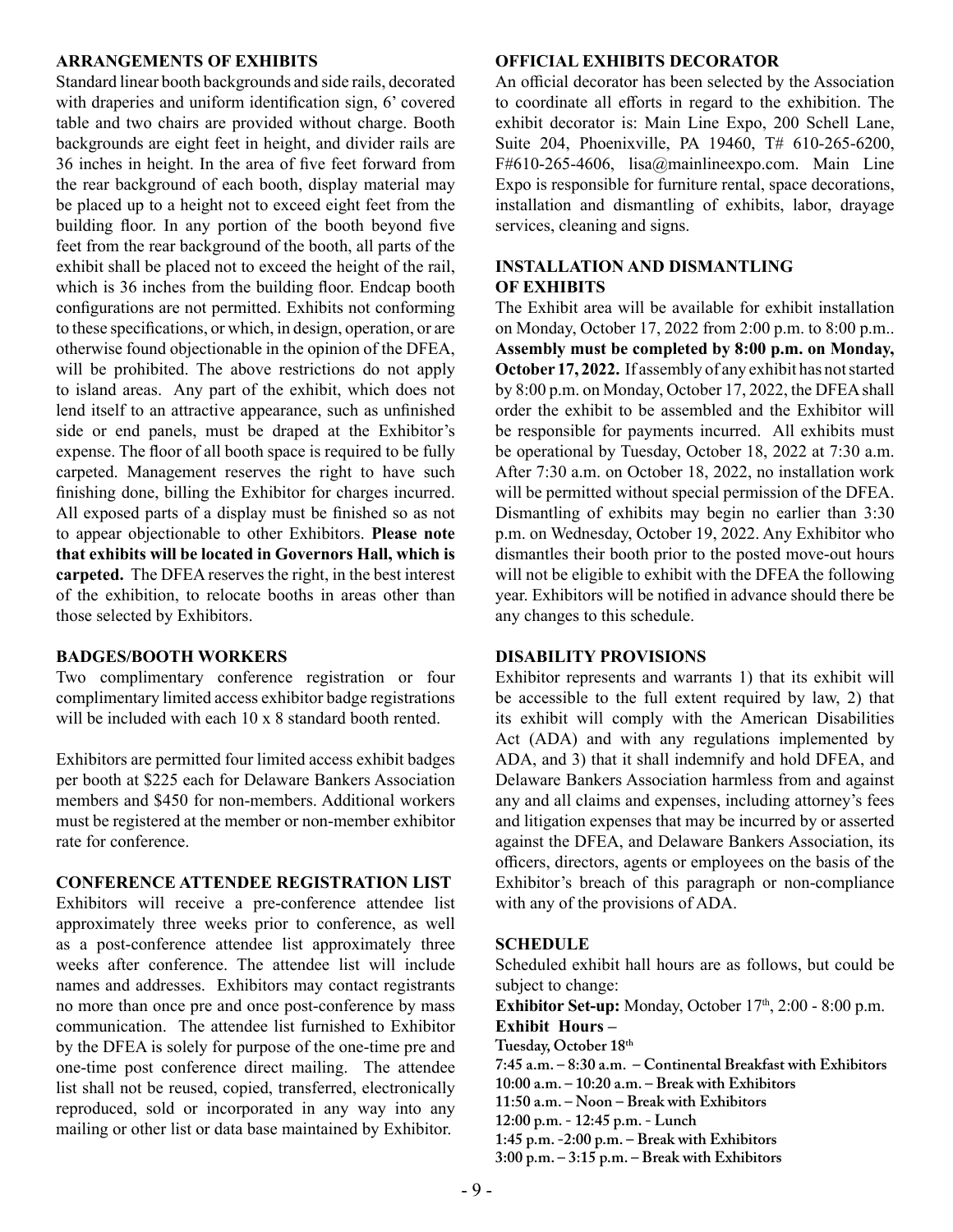#### **ARRANGEMENTS OF EXHIBITS**

Standard linear booth backgrounds and side rails, decorated with draperies and uniform identification sign, 6' covered table and two chairs are provided without charge. Booth backgrounds are eight feet in height, and divider rails are 36 inches in height. In the area of five feet forward from the rear background of each booth, display material may be placed up to a height not to exceed eight feet from the building floor. In any portion of the booth beyond five feet from the rear background of the booth, all parts of the exhibit shall be placed not to exceed the height of the rail, which is 36 inches from the building floor. Endcap booth configurations are not permitted. Exhibits not conforming to these specifications, or which, in design, operation, or are otherwise found objectionable in the opinion of the DFEA, will be prohibited. The above restrictions do not apply to island areas. Any part of the exhibit, which does not lend itself to an attractive appearance, such as unfinished side or end panels, must be draped at the Exhibitor's expense. The floor of all booth space is required to be fully carpeted. Management reserves the right to have such finishing done, billing the Exhibitor for charges incurred. All exposed parts of a display must be finished so as not to appear objectionable to other Exhibitors. **Please note that exhibits will be located in Governors Hall, which is carpeted.** The DFEA reserves the right, in the best interest of the exhibition, to relocate booths in areas other than those selected by Exhibitors.

#### **BADGES/BOOTH WORKERS**

Two complimentary conference registration or four complimentary limited access exhibitor badge registrations will be included with each 10 x 8 standard booth rented.

Exhibitors are permitted four limited access exhibit badges per booth at \$225 each for Delaware Bankers Association members and \$450 for non-members. Additional workers must be registered at the member or non-member exhibitor rate for conference.

#### **CONFERENCE ATTENDEE REGISTRATION LIST**

Exhibitors will receive a pre-conference attendee list approximately three weeks prior to conference, as well as a post-conference attendee list approximately three weeks after conference. The attendee list will include names and addresses. Exhibitors may contact registrants no more than once pre and once post-conference by mass communication. The attendee list furnished to Exhibitor by the DFEA is solely for purpose of the one-time pre and one-time post conference direct mailing. The attendee list shall not be reused, copied, transferred, electronically reproduced, sold or incorporated in any way into any mailing or other list or data base maintained by Exhibitor.

#### **OFFICIAL EXHIBITS DECORATOR**

An official decorator has been selected by the Association to coordinate all efforts in regard to the exhibition. The exhibit decorator is: Main Line Expo, 200 Schell Lane, Suite 204, Phoenixville, PA 19460, T# 610-265-6200, F#610-265-4606, lisa@mainlineexpo.com. Main Line Expo is responsible for furniture rental, space decorations, installation and dismantling of exhibits, labor, drayage services, cleaning and signs.

#### **INSTALLATION AND DISMANTLING OF EXHIBITS**

The Exhibit area will be available for exhibit installation on Monday, October 17, 2022 from 2:00 p.m. to 8:00 p.m.. **Assembly must be completed by 8:00 p.m. on Monday, October 17, 2022.** If assembly of any exhibit has not started by 8:00 p.m. on Monday, October 17, 2022, the DFEA shall order the exhibit to be assembled and the Exhibitor will be responsible for payments incurred. All exhibits must be operational by Tuesday, October 18, 2022 at 7:30 a.m. After 7:30 a.m. on October 18, 2022, no installation work will be permitted without special permission of the DFEA. Dismantling of exhibits may begin no earlier than 3:30 p.m. on Wednesday, October 19, 2022. Any Exhibitor who dismantles their booth prior to the posted move-out hours will not be eligible to exhibit with the DFEA the following year. Exhibitors will be notified in advance should there be any changes to this schedule.

#### **DISABILITY PROVISIONS**

Exhibitor represents and warrants 1) that its exhibit will be accessible to the full extent required by law, 2) that its exhibit will comply with the American Disabilities Act (ADA) and with any regulations implemented by ADA, and 3) that it shall indemnify and hold DFEA, and Delaware Bankers Association harmless from and against any and all claims and expenses, including attorney's fees and litigation expenses that may be incurred by or asserted against the DFEA, and Delaware Bankers Association, its officers, directors, agents or employees on the basis of the Exhibitor's breach of this paragraph or non-compliance with any of the provisions of ADA.

#### **SCHEDULE**

Scheduled exhibit hall hours are as follows, but could be subject to change:

**Exhibitor Set-up:** Monday, October 17<sup>th</sup>, 2:00 - 8:00 p.m. **Exhibit Hours – Tuesday, October 18th 7:45 a.m. – 8:30 a.m. – Continental Breakfast with Exhibitors 10:00 a.m. – 10:20 a.m. – Break with Exhibitors 11:50 a.m. – Noon – Break with Exhibitors**

**12:00 p.m. - 12:45 p.m. - Lunch** 

**1:45 p.m. -2:00 p.m. – Break with Exhibitors**

**3:00 p.m. – 3:15 p.m. – Break with Exhibitors**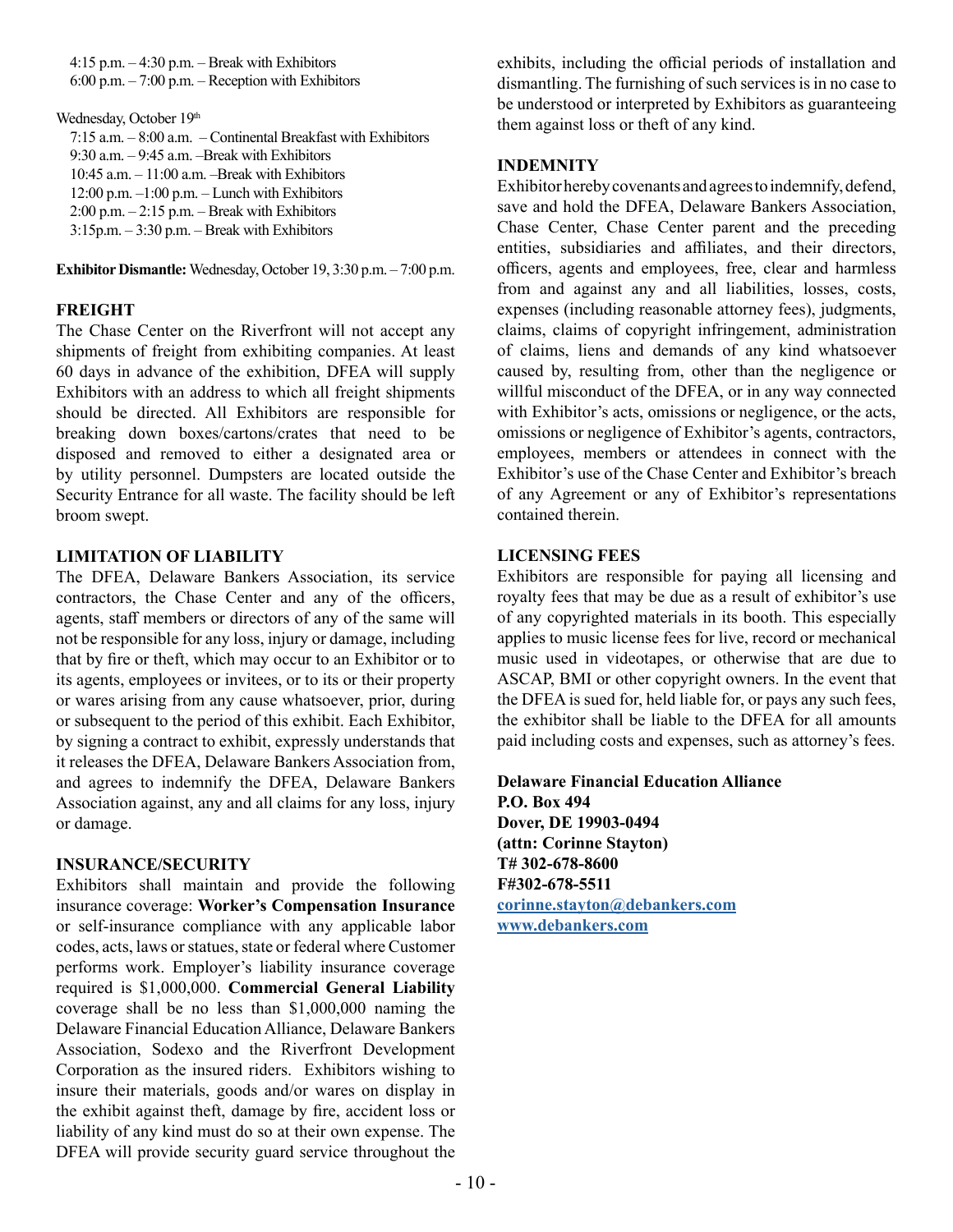$4:15$  p.m.  $-4:30$  p.m.  $-$  Break with Exhibitors  $6:00$  p.m.  $-7:00$  p.m.  $-$  Reception with Exhibitors

Wednesday, October 19th

| 7:15 a.m. $-8:00$ a.m. $-$ Continental Breakfast with Exhibitors |
|------------------------------------------------------------------|
| $9:30$ a.m. $-9:45$ a.m. $-$ Break with Exhibitors               |
| $10:45$ a.m. $-11:00$ a.m. $-$ Break with Exhibitors             |
| $12:00$ p.m. $-1:00$ p.m. $-$ Lunch with Exhibitors              |
| $2:00$ p.m. $-2:15$ p.m. $-$ Break with Exhibitors               |
| $3:15$ p.m. $-3:30$ p.m. $-$ Break with Exhibitors               |
|                                                                  |

**Exhibitor Dismantle:** Wednesday, October 19, 3:30 p.m. – 7:00 p.m.

#### **FREIGHT**

The Chase Center on the Riverfront will not accept any shipments of freight from exhibiting companies. At least 60 days in advance of the exhibition, DFEA will supply Exhibitors with an address to which all freight shipments should be directed. All Exhibitors are responsible for breaking down boxes/cartons/crates that need to be disposed and removed to either a designated area or by utility personnel. Dumpsters are located outside the Security Entrance for all waste. The facility should be left broom swept.

#### **LIMITATION OF LIABILITY**

The DFEA, Delaware Bankers Association, its service contractors, the Chase Center and any of the officers, agents, staff members or directors of any of the same will not be responsible for any loss, injury or damage, including that by fire or theft, which may occur to an Exhibitor or to its agents, employees or invitees, or to its or their property or wares arising from any cause whatsoever, prior, during or subsequent to the period of this exhibit. Each Exhibitor, by signing a contract to exhibit, expressly understands that it releases the DFEA, Delaware Bankers Association from, and agrees to indemnify the DFEA, Delaware Bankers Association against, any and all claims for any loss, injury or damage.

#### **INSURANCE/SECURITY**

Exhibitors shall maintain and provide the following insurance coverage: **Worker's Compensation Insurance** or self-insurance compliance with any applicable labor codes, acts, laws or statues, state or federal where Customer performs work. Employer's liability insurance coverage required is \$1,000,000. **Commercial General Liability** coverage shall be no less than \$1,000,000 naming the Delaware Financial Education Alliance, Delaware Bankers Association, Sodexo and the Riverfront Development Corporation as the insured riders. Exhibitors wishing to insure their materials, goods and/or wares on display in the exhibit against theft, damage by fire, accident loss or liability of any kind must do so at their own expense. The DFEA will provide security guard service throughout the exhibits, including the official periods of installation and dismantling. The furnishing of such services is in no case to be understood or interpreted by Exhibitors as guaranteeing them against loss or theft of any kind.

#### **INDEMNITY**

Exhibitor hereby covenants and agrees to indemnify, defend, save and hold the DFEA, Delaware Bankers Association, Chase Center, Chase Center parent and the preceding entities, subsidiaries and affiliates, and their directors, officers, agents and employees, free, clear and harmless from and against any and all liabilities, losses, costs, expenses (including reasonable attorney fees), judgments, claims, claims of copyright infringement, administration of claims, liens and demands of any kind whatsoever caused by, resulting from, other than the negligence or willful misconduct of the DFEA, or in any way connected with Exhibitor's acts, omissions or negligence, or the acts, omissions or negligence of Exhibitor's agents, contractors, employees, members or attendees in connect with the Exhibitor's use of the Chase Center and Exhibitor's breach of any Agreement or any of Exhibitor's representations contained therein.

#### **LICENSING FEES**

Exhibitors are responsible for paying all licensing and royalty fees that may be due as a result of exhibitor's use of any copyrighted materials in its booth. This especially applies to music license fees for live, record or mechanical music used in videotapes, or otherwise that are due to ASCAP, BMI or other copyright owners. In the event that the DFEA is sued for, held liable for, or pays any such fees, the exhibitor shall be liable to the DFEA for all amounts paid including costs and expenses, such as attorney's fees.

**Delaware Financial Education Alliance P.O. Box 494 Dover, DE 19903-0494 (attn: Corinne Stayton) T# 302-678-8600 F#302-678-5511 corinne.stayton@debankers.com www.debankers.com**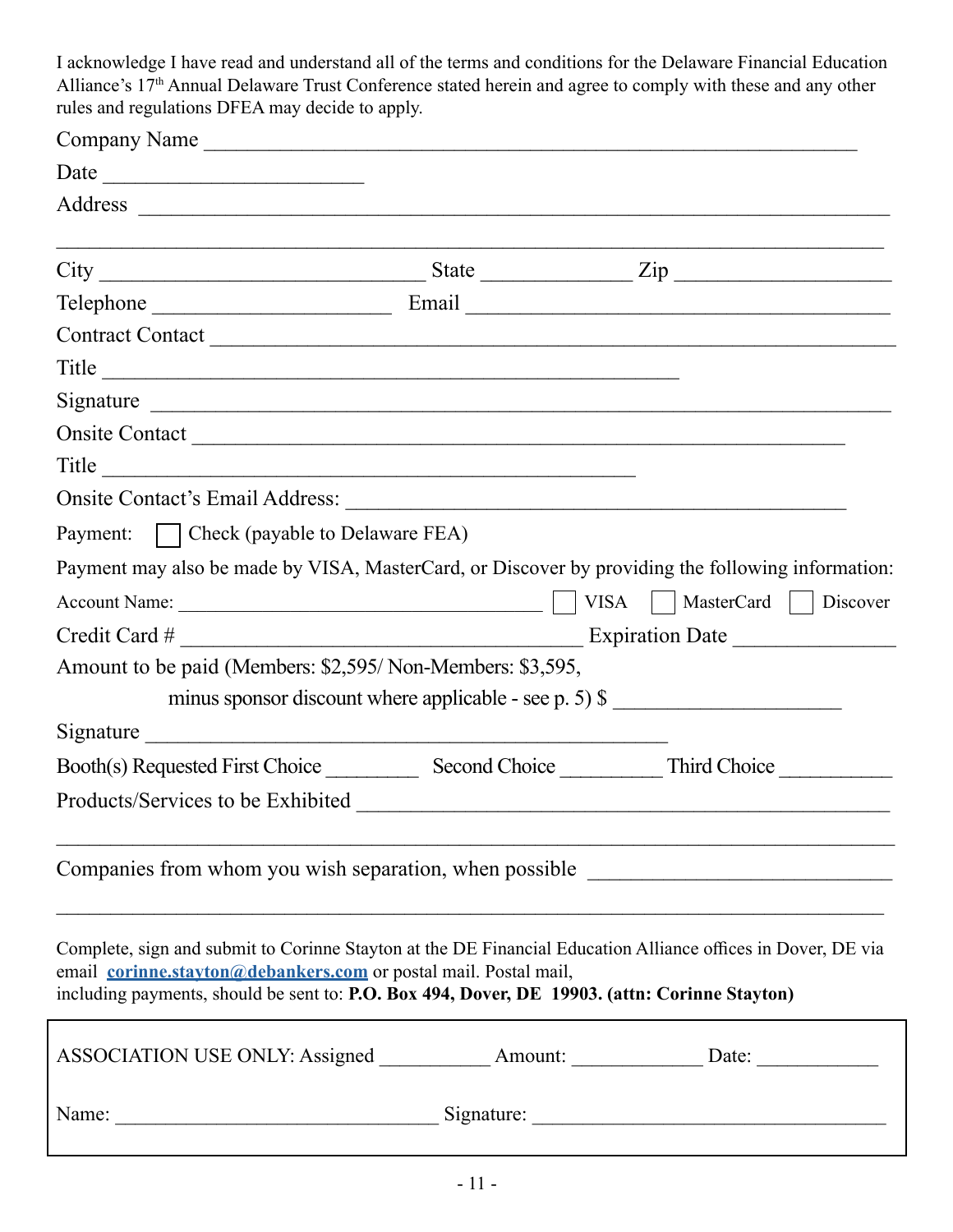I acknowledge I have read and understand all of the terms and conditions for the Delaware Financial Education Alliance's 17<sup>th</sup> Annual Delaware Trust Conference stated herein and agree to comply with these and any other rules and regulations DFEA may decide to apply.

| Company Name                                                                                                                                                      |  |  |                                                                                                              |  |
|-------------------------------------------------------------------------------------------------------------------------------------------------------------------|--|--|--------------------------------------------------------------------------------------------------------------|--|
|                                                                                                                                                                   |  |  |                                                                                                              |  |
|                                                                                                                                                                   |  |  |                                                                                                              |  |
|                                                                                                                                                                   |  |  | $City$ $City$ $Size$                                                                                         |  |
|                                                                                                                                                                   |  |  |                                                                                                              |  |
|                                                                                                                                                                   |  |  |                                                                                                              |  |
| Title                                                                                                                                                             |  |  |                                                                                                              |  |
|                                                                                                                                                                   |  |  |                                                                                                              |  |
|                                                                                                                                                                   |  |  |                                                                                                              |  |
| $\text{Title}$                                                                                                                                                    |  |  |                                                                                                              |  |
|                                                                                                                                                                   |  |  |                                                                                                              |  |
| Payment:   Check (payable to Delaware FEA)                                                                                                                        |  |  |                                                                                                              |  |
|                                                                                                                                                                   |  |  | Payment may also be made by VISA, MasterCard, or Discover by providing the following information:            |  |
|                                                                                                                                                                   |  |  | VISA     MasterCard     Discover                                                                             |  |
|                                                                                                                                                                   |  |  |                                                                                                              |  |
| Amount to be paid (Members: \$2,595/Non-Members: \$3,595,                                                                                                         |  |  |                                                                                                              |  |
|                                                                                                                                                                   |  |  | minus sponsor discount where applicable - see p. 5) $\frac{1}{2}$                                            |  |
| Signature                                                                                                                                                         |  |  |                                                                                                              |  |
|                                                                                                                                                                   |  |  |                                                                                                              |  |
|                                                                                                                                                                   |  |  |                                                                                                              |  |
|                                                                                                                                                                   |  |  | Companies from whom you wish separation, when possible _________________________                             |  |
| email corinne.stayton@debankers.com or postal mail. Postal mail,<br>including payments, should be sent to: P.O. Box 494, Dover, DE 19903. (attn: Corinne Stayton) |  |  | Complete, sign and submit to Corinne Stayton at the DE Financial Education Alliance offices in Dover, DE via |  |
| ASSOCIATION USE ONLY: Assigned _____________ Amount: ______________ Date: _____________                                                                           |  |  |                                                                                                              |  |
| Name:                                                                                                                                                             |  |  |                                                                                                              |  |